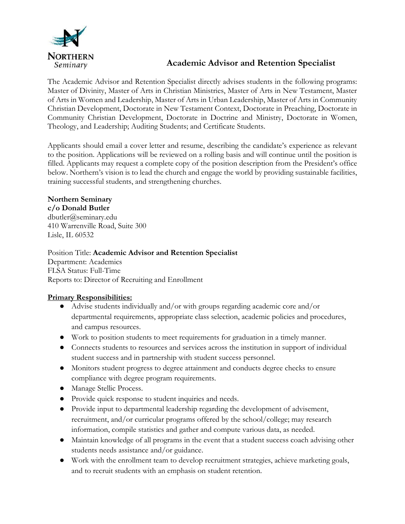

## **Academic Advisor and Retention Specialist**

The Academic Advisor and Retention Specialist directly advises students in the following programs: Master of Divinity, Master of Arts in Christian Ministries, Master of Arts in New Testament, Master of Arts in Women and Leadership, Master of Arts in Urban Leadership, Master of Arts in Community Christian Development, Doctorate in New Testament Context, Doctorate in Preaching, Doctorate in Community Christian Development, Doctorate in Doctrine and Ministry, Doctorate in Women, Theology, and Leadership; Auditing Students; and Certificate Students.

Applicants should email a cover letter and resume, describing the candidate's experience as relevant to the position. Applications will be reviewed on a rolling basis and will continue until the position is filled. Applicants may request a complete copy of the position description from the President's office below. Northern's vision is to lead the church and engage the world by providing sustainable facilities, training successful students, and strengthening churches.

# **Northern Seminary**

**c/o Donald Butler** dbutler@seminary.edu 410 Warrenville Road, Suite 300 Lisle, IL 60532

Position Title: **Academic Advisor and Retention Specialist** Department: Academics FLSA Status: Full-Time Reports to: Director of Recruiting and Enrollment

### **Primary Responsibilities:**

- Advise students individually and/or with groups regarding academic core and/or departmental requirements, appropriate class selection, academic policies and procedures, and campus resources.
- Work to position students to meet requirements for graduation in a timely manner.
- Connects students to resources and services across the institution in support of individual student success and in partnership with student success personnel.
- Monitors student progress to degree attainment and conducts degree checks to ensure compliance with degree program requirements.
- Manage Stellic Process.
- Provide quick response to student inquiries and needs.
- Provide input to departmental leadership regarding the development of advisement, recruitment, and/or curricular programs offered by the school/college; may research information, compile statistics and gather and compute various data, as needed.
- Maintain knowledge of all programs in the event that a student success coach advising other students needs assistance and/or guidance.
- Work with the enrollment team to develop recruitment strategies, achieve marketing goals, and to recruit students with an emphasis on student retention.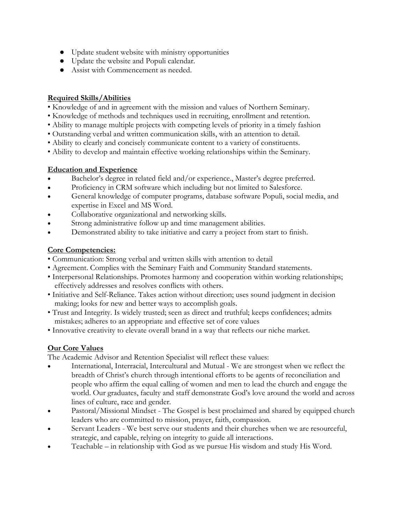- Update student website with ministry opportunities
- Update the website and Populi calendar.
- Assist with Commencement as needed.

#### **Required Skills/Abilities**

- Knowledge of and in agreement with the mission and values of Northern Seminary.
- Knowledge of methods and techniques used in recruiting, enrollment and retention.
- Ability to manage multiple projects with competing levels of priority in a timely fashion
- Outstanding verbal and written communication skills, with an attention to detail.
- Ability to clearly and concisely communicate content to a variety of constituents.
- Ability to develop and maintain effective working relationships within the Seminary.

#### **Education and Experience**

- Bachelor's degree in related field and/or experience., Master's degree preferred.
- Proficiency in CRM software which including but not limited to Salesforce.
- General knowledge of computer programs, database software Populi, social media, and expertise in Excel and MS Word.
- Collaborative organizational and networking skills.
- Strong administrative follow up and time management abilities.
- Demonstrated ability to take initiative and carry a project from start to finish.

#### **Core Competencies:**

- Communication: Strong verbal and written skills with attention to detail
- Agreement. Complies with the Seminary Faith and Community Standard statements.
- Interpersonal Relationships. Promotes harmony and cooperation within working relationships; effectively addresses and resolves conflicts with others.
- Initiative and Self-Reliance. Takes action without direction; uses sound judgment in decision making; looks for new and better ways to accomplish goals.
- Trust and Integrity. Is widely trusted; seen as direct and truthful; keeps confidences; admits mistakes; adheres to an appropriate and effective set of core values
- Innovative creativity to elevate overall brand in a way that reflects our niche market.

#### **Our Core Values**

The Academic Advisor and Retention Specialist will reflect these values:

- International, Interracial, Intercultural and Mutual We are strongest when we reflect the breadth of Christ's church through intentional efforts to be agents of reconciliation and people who affirm the equal calling of women and men to lead the church and engage the world. Our graduates, faculty and staff demonstrate God's love around the world and across lines of culture, race and gender.
- Pastoral/Missional Mindset The Gospel is best proclaimed and shared by equipped church leaders who are committed to mission, prayer, faith, compassion.
- Servant Leaders We best serve our students and their churches when we are resourceful, strategic, and capable, relying on integrity to guide all interactions.
- Teachable in relationship with God as we pursue His wisdom and study His Word.